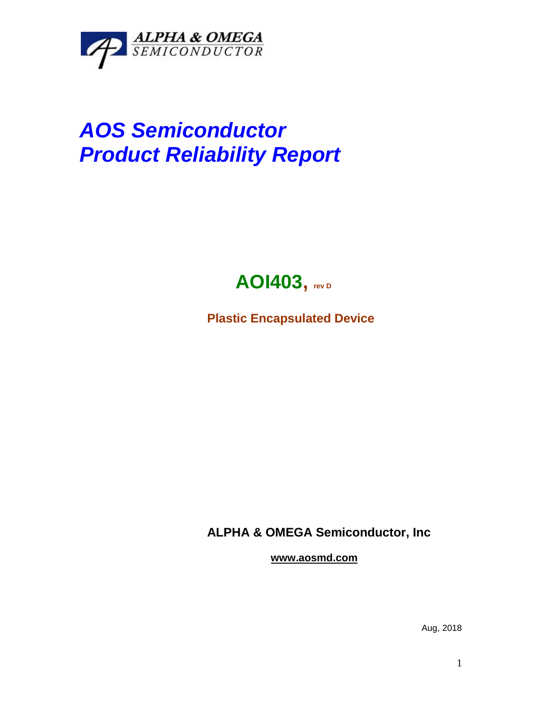

## *AOS Semiconductor Product Reliability Report*



**Plastic Encapsulated Device**

**ALPHA & OMEGA Semiconductor, Inc**

**www.aosmd.com**

Aug, 2018